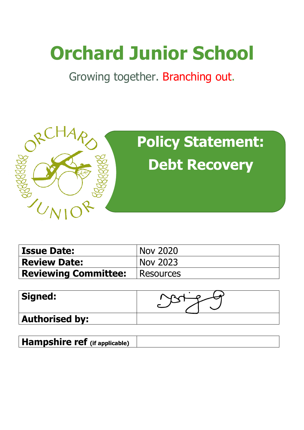# **Orchard Junior School**

Growing together. Branching out.



| <b>Issue Date:</b>                    | <b>Nov 2020</b> |
|---------------------------------------|-----------------|
| <b>Review Date:</b>                   | Nov 2023        |
| <b>Reviewing Committee:</b> Resources |                 |

| Signed:               |  |
|-----------------------|--|
| <b>Authorised by:</b> |  |

**Hampshire ref (if applicable)**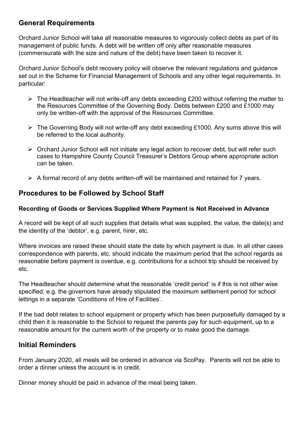## **General Requirements**

Orchard Junior School will take all reasonable measures to vigorously collect debts as part of its management of public funds. A debt will be written off only after reasonable measures (commensurate with the size and nature of the debt) have been taken to recover it.

Orchard Junior School's debt recovery policy will observe the relevant regulations and guidance set out in the Scheme for Financial Management of Schools and any other legal requirements. In particular:

- $\triangleright$  The Headteacher will not write-off any debts exceeding £200 without referring the matter to the Resources Committee of the Governing Body. Debts between £200 and £1000 may only be written-off with the approval of the Resources Committee.
- $\triangleright$  The Governing Body will not write-off any debt exceeding £1000. Any sums above this will be referred to the local authority.
- $\triangleright$  Orchard Junior School will not initiate any legal action to recover debt, but will refer such cases to Hampshire County Council Treasurer's Debtors Group where appropriate action can be taken.
- $\triangleright$  A formal record of any debts written-off will be maintained and retained for 7 years.

### **Procedures to be Followed by School Staff**

#### **Recording of Goods or Services Supplied Where Payment is Not Received in Advance**

A record will be kept of all such supplies that details what was supplied, the value, the date(s) and the identity of the 'debtor', e.g. parent, hirer, etc.

Where invoices are raised these should state the date by which payment is due. In all other cases correspondence with parents, etc. should indicate the maximum period that the school regards as reasonable before payment is overdue, e.g. contributions for a school trip should be received by etc.

The Headteacher should determine what the reasonable 'credit period' is if this is not other wise specified, e.g. the governors have already stipulated the maximum settlement period for school lettings in a separate 'Conditions of Hire of Facilities'.

If the bad debt relates to school equipment or property which has been purposefully damaged by a child then it is reasonable to the School to request the parents pay for such equipment, up to a reasonable amount for the current worth of the property or to make good the damage.

### **Initial Reminders**

From January 2020, all meals will be ordered in advance via ScoPay. Parents will not be able to order a dinner unless the account is in credit.

Dinner money should be paid in advance of the meal being taken.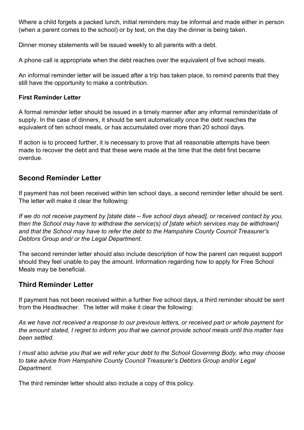Where a child forgets a packed lunch, initial reminders may be informal and made either in person (when a parent comes to the school) or by text, on the day the dinner is being taken.

Dinner money statements will be issued weekly to all parents with a debt.

A phone call is appropriate when the debt reaches over the equivalent of five school meals.

An informal reminder letter will be issued after a trip has taken place, to remind parents that they still have the opportunity to make a contribution.

#### **First Reminder Letter**

A formal reminder letter should be issued in a timely manner after any informal reminder/date of supply. In the case of dinners, it should be sent automatically once the debt reaches the equivalent of ten school meals, or has accumulated over more than 20 school days.

If action is to proceed further, it is necessary to prove that all reasonable attempts have been made to recover the debt and that these were made at the time that the debt first became overdue.

# **Second Reminder Letter**

If payment has not been received within ten school days, a second reminder letter should be sent. The letter will make it clear the following:

*If we do not receive payment by [state date – five school days ahead], or received contact by you, then the School may have to withdraw the service(s) of [state which services may be withdrawn] and that the School may have to refer the debt to the Hampshire County Council Treasurer's Debtors Group and/ or the Legal Department.* 

The second reminder letter should also include description of how the parent can request support should they feel unable to pay the amount. Information regarding how to apply for Free School Meals may be beneficial.

# **Third Reminder Letter**

If payment has not been received within a further five school days, a third reminder should be sent from the Headteacher. The letter will make it clear the following:

*As we have not received a response to our previous letters, or received part or whole payment for the amount stated, I regret to inform you that we cannot provide school meals until this matter has been settled.*

*I must also advise you that we will refer your debt to the School Governing Body, who may choose to take advice from Hampshire County Council Treasurer's Debtors Group and/or Legal Department.* 

The third reminder letter should also include a copy of this policy.